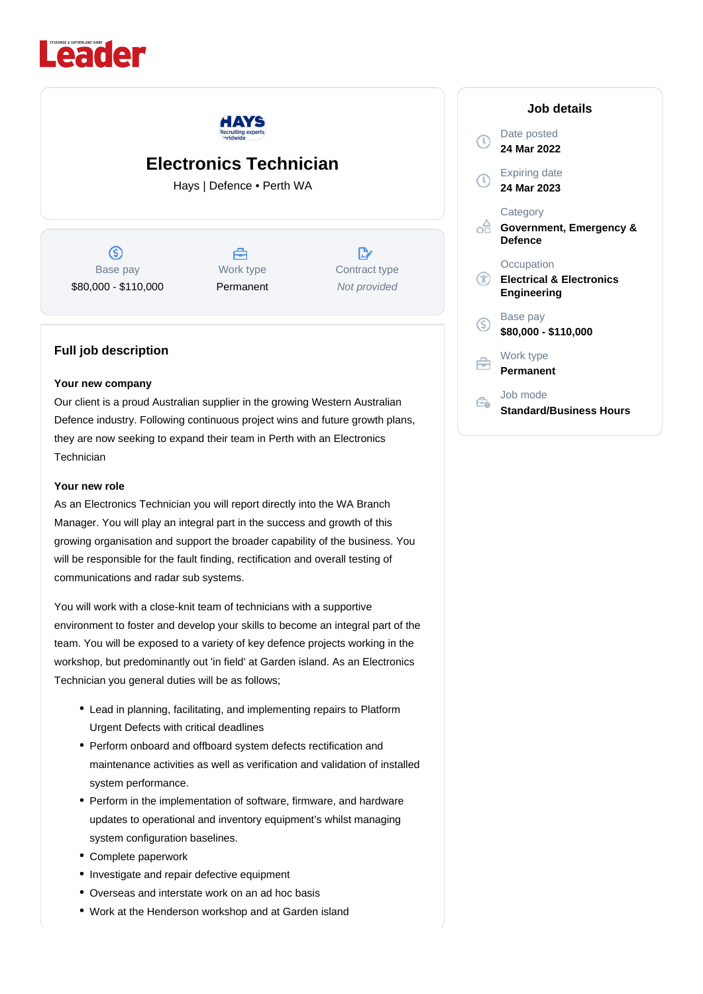



# **Electronics Technician**

Hays | Defence • Perth WA

 $\circledS$ Base pay \$80,000 - \$110,000

曲 Work type Permanent

 $\mathbb{R}$ Contract type Not provided

### **Full job description**

#### **Your new company**

Our client is a proud Australian supplier in the growing Western Australian Defence industry. Following continuous project wins and future growth plans, they are now seeking to expand their team in Perth with an Electronics **Technician** 

#### **Your new role**

As an Electronics Technician you will report directly into the WA Branch Manager. You will play an integral part in the success and growth of this growing organisation and support the broader capability of the business. You will be responsible for the fault finding, rectification and overall testing of communications and radar sub systems.

You will work with a close-knit team of technicians with a supportive environment to foster and develop your skills to become an integral part of the team. You will be exposed to a variety of key defence projects working in the workshop, but predominantly out 'in field' at Garden island. As an Electronics Technician you general duties will be as follows;

- Lead in planning, facilitating, and implementing repairs to Platform Urgent Defects with critical deadlines
- Perform onboard and offboard system defects rectification and maintenance activities as well as verification and validation of installed system performance.
- Perform in the implementation of software, firmware, and hardware updates to operational and inventory equipment's whilst managing system configuration baselines.
- Complete paperwork
- Investigate and repair defective equipment
- Overseas and interstate work on an ad hoc basis
- Work at the Henderson workshop and at Garden island

|    |                | Job details                                                      |
|----|----------------|------------------------------------------------------------------|
|    |                | Date posted<br>24 Mar 2022                                       |
|    | $(\mathbb{C})$ | <b>Expiring date</b><br>24 Mar 2023                              |
|    |                | Category<br>Government, Emergency &<br><b>Defence</b>            |
|    |                | Occupation<br><b>Electrical &amp; Electronics</b><br>Engineering |
| (Ś |                | Base pay<br>\$80,000 - \$110,000                                 |
|    |                | Work type<br>Permanent                                           |
|    |                | Job mode<br><b>Standard/Business Hours</b>                       |